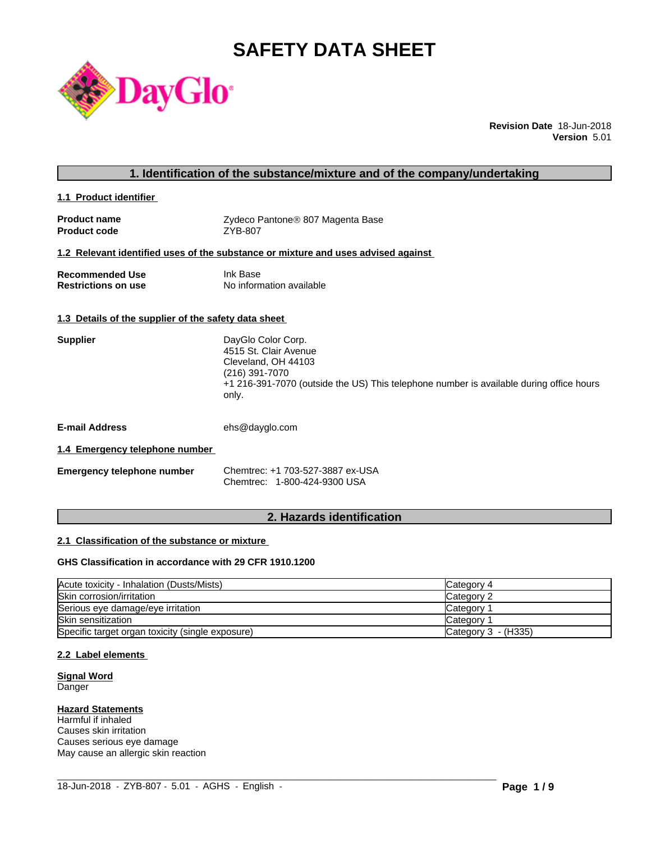# **SAFETY DATA SHEET**



**Revision Date** 18-Jun-2018 **Version** 5.01

#### **1. Identification of the substance/mixture and of the company/undertaking**

**1.1 Product identifier** 

| <b>Product name</b> | Zydeco Pantone® 807 Magenta Base |
|---------------------|----------------------------------|
| <b>Product code</b> | ZYB-807                          |

#### **1.2 Relevant identified uses of the substance or mixture and uses advised against**

| <b>Recommended Use</b>     | Ink Base                 |
|----------------------------|--------------------------|
| <b>Restrictions on use</b> | No information available |

#### **1.3 Details of the supplier of the safety data sheet**

| <b>Supplier</b> | DayGlo Color Corp.<br>4515 St. Clair Avenue<br>Cleveland, OH 44103<br>(216) 391-7070<br>+1 216-391-7070 (outside the US) This telephone number is available during office hours<br>only. |
|-----------------|------------------------------------------------------------------------------------------------------------------------------------------------------------------------------------------|
|                 |                                                                                                                                                                                          |

**E-mail Address** ehs@dayglo.com

#### **1.4 Emergency telephone number**

| <b>Emergency telephone number</b> | Chemtrec: +1 703-527-3887 ex-USA |
|-----------------------------------|----------------------------------|
|                                   | Chemtrec: 1-800-424-9300 USA     |

## **2. Hazards identification**

#### **2.1 Classification of the substance or mixture**

#### **GHS Classification in accordance with 29 CFR 1910.1200**

| Acute toxicity - Inhalation (Dusts/Mists)        | Category 4          |
|--------------------------------------------------|---------------------|
| Skin corrosion/irritation                        | Category 2          |
| Serious eye damage/eye irritation                | <b>Category</b>     |
| <b>Skin sensitization</b>                        | <b>Category</b>     |
| Specific target organ toxicity (single exposure) | Category 3 - (H335) |

 $\_$  ,  $\_$  ,  $\_$  ,  $\_$  ,  $\_$  ,  $\_$  ,  $\_$  ,  $\_$  ,  $\_$  ,  $\_$  ,  $\_$  ,  $\_$  ,  $\_$  ,  $\_$  ,  $\_$  ,  $\_$  ,  $\_$  ,  $\_$  ,  $\_$  ,  $\_$  ,  $\_$  ,  $\_$  ,  $\_$  ,  $\_$  ,  $\_$  ,  $\_$  ,  $\_$  ,  $\_$  ,  $\_$  ,  $\_$  ,  $\_$  ,  $\_$  ,  $\_$  ,  $\_$  ,  $\_$  ,  $\_$  ,  $\_$  ,

#### **2.2 Label elements**

#### **Signal Word** Danger

#### **Hazard Statements**

Harmful if inhaled Causes skin irritation Causes serious eye damage May cause an allergic skin reaction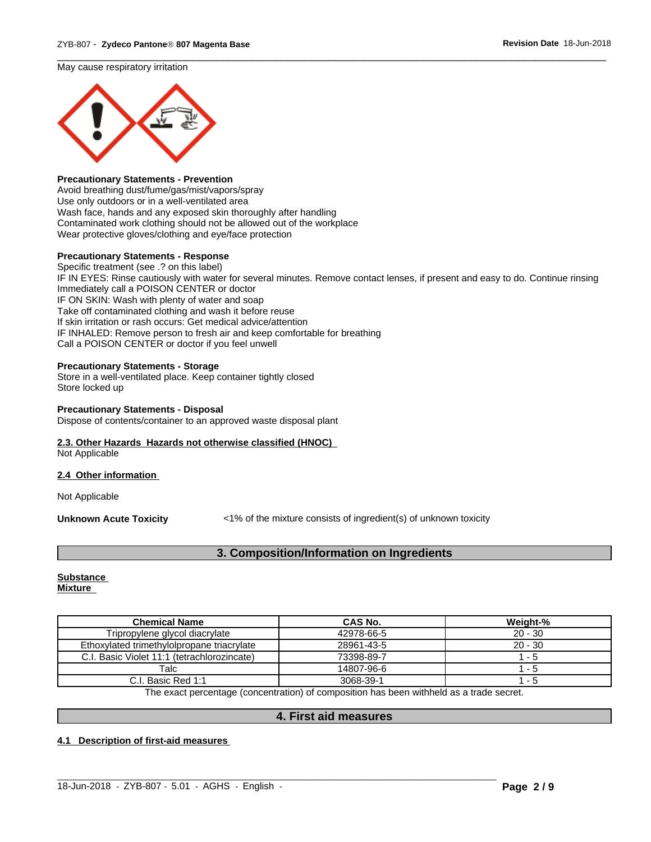May cause respiratory irritation



#### **Precautionary Statements - Prevention**

Avoid breathing dust/fume/gas/mist/vapors/spray Use only outdoors or in a well-ventilated area Wash face, hands and any exposed skin thoroughly after handling Contaminated work clothing should not be allowed out of the workplace Wear protective gloves/clothing and eye/face protection

#### **Precautionary Statements - Response**

Specific treatment (see .? on this label) IF IN EYES: Rinse cautiously with water for several minutes. Remove contact lenses, if present and easy to do. Continue rinsing Immediately call a POISON CENTER or doctor IF ON SKIN: Wash with plenty of water and soap Take off contaminated clothing and wash it before reuse If skin irritation or rash occurs: Get medical advice/attention IF INHALED: Remove person to fresh air and keep comfortable for breathing Call a POISON CENTER or doctor if you feel unwell

 $\overline{\phantom{a}}$  ,  $\overline{\phantom{a}}$  ,  $\overline{\phantom{a}}$  ,  $\overline{\phantom{a}}$  ,  $\overline{\phantom{a}}$  ,  $\overline{\phantom{a}}$  ,  $\overline{\phantom{a}}$  ,  $\overline{\phantom{a}}$  ,  $\overline{\phantom{a}}$  ,  $\overline{\phantom{a}}$  ,  $\overline{\phantom{a}}$  ,  $\overline{\phantom{a}}$  ,  $\overline{\phantom{a}}$  ,  $\overline{\phantom{a}}$  ,  $\overline{\phantom{a}}$  ,  $\overline{\phantom{a}}$ 

#### **Precautionary Statements - Storage**

Store in a well-ventilated place. Keep container tightly closed Store locked up

# **Precautionary Statements - Disposal**

Dispose of contents/container to an approved waste disposal plant

#### **2.3. Other Hazards Hazards not otherwise classified (HNOC)**

Not Applicable

#### **2.4 Other information**

Not Applicable

**Unknown Acute Toxicity** <1% of the mixture consists of ingredient(s) of unknown toxicity

#### **3. Composition/Information on Ingredients**

#### **Substance Mixture**

| Tripropylene glycol diacrylate<br>42978-66-5<br>$20 - 30$<br>$20 - 30$<br>Ethoxylated trimethylolpropane triacrylate<br>28961-43-5<br>73398-89-7<br>C.I. Basic Violet 11:1 (tetrachlorozincate)<br>- 5 |
|--------------------------------------------------------------------------------------------------------------------------------------------------------------------------------------------------------|
|                                                                                                                                                                                                        |
|                                                                                                                                                                                                        |
|                                                                                                                                                                                                        |
| Talc<br>14807-96-6<br>- 5                                                                                                                                                                              |
| 3068-39-1<br>C.I. Basic Red 1:1<br>- 5                                                                                                                                                                 |

The exact percentage (concentration) of composition has been withheld as a trade secret.

#### **4. First aid measures**

 $\_$  ,  $\_$  ,  $\_$  ,  $\_$  ,  $\_$  ,  $\_$  ,  $\_$  ,  $\_$  ,  $\_$  ,  $\_$  ,  $\_$  ,  $\_$  ,  $\_$  ,  $\_$  ,  $\_$  ,  $\_$  ,  $\_$  ,  $\_$  ,  $\_$  ,  $\_$  ,  $\_$  ,  $\_$  ,  $\_$  ,  $\_$  ,  $\_$  ,  $\_$  ,  $\_$  ,  $\_$  ,  $\_$  ,  $\_$  ,  $\_$  ,  $\_$  ,  $\_$  ,  $\_$  ,  $\_$  ,  $\_$  ,  $\_$  ,

#### **4.1 Description of first-aid measures**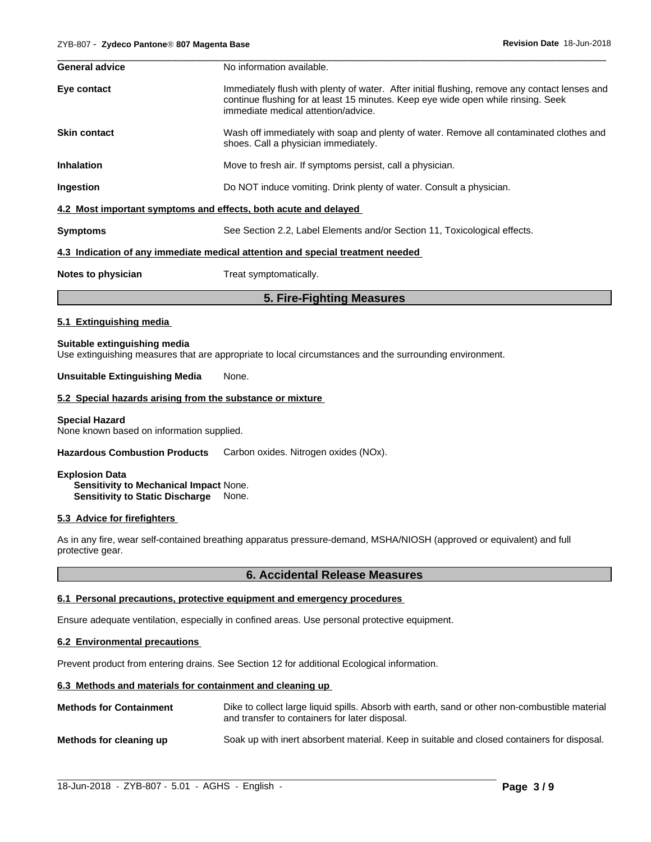| <b>General advice</b> | No information available.                                                                                                                                                                                                 |
|-----------------------|---------------------------------------------------------------------------------------------------------------------------------------------------------------------------------------------------------------------------|
| Eye contact           | Immediately flush with plenty of water. After initial flushing, remove any contact lenses and<br>continue flushing for at least 15 minutes. Keep eye wide open while rinsing. Seek<br>immediate medical attention/advice. |
| <b>Skin contact</b>   | Wash off immediately with soap and plenty of water. Remove all contaminated clothes and<br>shoes. Call a physician immediately.                                                                                           |
| <b>Inhalation</b>     | Move to fresh air. If symptoms persist, call a physician.                                                                                                                                                                 |
| Ingestion             | Do NOT induce vomiting. Drink plenty of water. Consult a physician.                                                                                                                                                       |
|                       | 4.2 Most important symptoms and effects, both acute and delayed                                                                                                                                                           |
| <b>Symptoms</b>       | See Section 2.2, Label Elements and/or Section 11, Toxicological effects.                                                                                                                                                 |
|                       | 4.3 Indication of any immediate medical attention and special treatment needed                                                                                                                                            |
| Notes to physician    | Treat symptomatically.                                                                                                                                                                                                    |

# **5. Fire-Fighting Measures**

#### **5.1 Extinguishing media**

#### **Suitable extinguishing media**

Use extinguishing measures that are appropriate to local circumstances and the surrounding environment.

#### **Unsuitable Extinguishing Media** None.

#### **5.2 Special hazards arising from the substance or mixture**

#### **Special Hazard**

None known based on information supplied.

**Hazardous Combustion Products** Carbon oxides. Nitrogen oxides (NOx).

#### **Explosion Data**

**Sensitivity to Mechanical Impact** None. **Sensitivity to Static Discharge** None.

#### **5.3 Advice for firefighters**

As in any fire, wear self-contained breathing apparatus pressure-demand, MSHA/NIOSH (approved or equivalent) and full protective gear.

#### **6. Accidental Release Measures**

#### **6.1 Personal precautions, protective equipment and emergency procedures**

Ensure adequate ventilation, especially in confined areas. Use personal protective equipment.

#### **6.2 Environmental precautions**

Prevent product from entering drains. See Section 12 for additional Ecological information.

#### **6.3 Methods and materials for containment and cleaning up**

| <b>Methods for Containment</b> | Dike to collect large liquid spills. Absorb with earth, sand or other non-combustible material<br>and transfer to containers for later disposal. |
|--------------------------------|--------------------------------------------------------------------------------------------------------------------------------------------------|
| Methods for cleaning up        | Soak up with inert absorbent material. Keep in suitable and closed containers for disposal.                                                      |

 $\_$  ,  $\_$  ,  $\_$  ,  $\_$  ,  $\_$  ,  $\_$  ,  $\_$  ,  $\_$  ,  $\_$  ,  $\_$  ,  $\_$  ,  $\_$  ,  $\_$  ,  $\_$  ,  $\_$  ,  $\_$  ,  $\_$  ,  $\_$  ,  $\_$  ,  $\_$  ,  $\_$  ,  $\_$  ,  $\_$  ,  $\_$  ,  $\_$  ,  $\_$  ,  $\_$  ,  $\_$  ,  $\_$  ,  $\_$  ,  $\_$  ,  $\_$  ,  $\_$  ,  $\_$  ,  $\_$  ,  $\_$  ,  $\_$  ,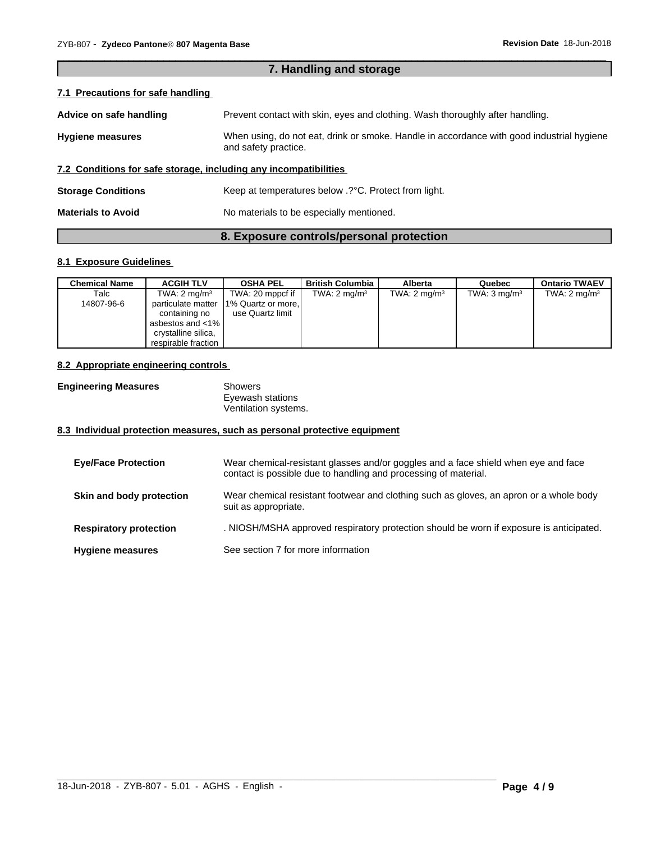| 7. Handling and storage                                          |                                                                                                                   |  |
|------------------------------------------------------------------|-------------------------------------------------------------------------------------------------------------------|--|
| 7.1 Precautions for safe handling                                |                                                                                                                   |  |
| Advice on safe handling                                          | Prevent contact with skin, eyes and clothing. Wash thoroughly after handling.                                     |  |
| <b>Hygiene measures</b>                                          | When using, do not eat, drink or smoke. Handle in accordance with good industrial hygiene<br>and safety practice. |  |
| 7.2 Conditions for safe storage, including any incompatibilities |                                                                                                                   |  |
| <b>Storage Conditions</b>                                        | Keep at temperatures below .? °C. Protect from light.                                                             |  |
| <b>Materials to Avoid</b>                                        | No materials to be especially mentioned.                                                                          |  |

 $\overline{\phantom{a}}$  ,  $\overline{\phantom{a}}$  ,  $\overline{\phantom{a}}$  ,  $\overline{\phantom{a}}$  ,  $\overline{\phantom{a}}$  ,  $\overline{\phantom{a}}$  ,  $\overline{\phantom{a}}$  ,  $\overline{\phantom{a}}$  ,  $\overline{\phantom{a}}$  ,  $\overline{\phantom{a}}$  ,  $\overline{\phantom{a}}$  ,  $\overline{\phantom{a}}$  ,  $\overline{\phantom{a}}$  ,  $\overline{\phantom{a}}$  ,  $\overline{\phantom{a}}$  ,  $\overline{\phantom{a}}$ 

#### **8. Exposure controls/personal protection**

#### **8.1 Exposure Guidelines**

| <b>Chemical Name</b> | <b>ACGIH TLV</b>        | <b>OSHA PEL</b>          | <b>British Columbia</b> | Alberta                 | Quebec                  | <b>Ontario TWAEV</b>    |
|----------------------|-------------------------|--------------------------|-------------------------|-------------------------|-------------------------|-------------------------|
| Talc                 | TWA: $2 \text{ mg/m}^3$ | TWA: 20 mppcf if $\vert$ | TWA: $2 \text{ mg/m}^3$ | TWA: $2 \text{ mg/m}^3$ | TWA: $3 \text{ mg/m}^3$ | TWA: $2 \text{ mg/m}^3$ |
| 14807-96-6           | particulate matter      | 1% Quartz or more,       |                         |                         |                         |                         |
|                      | containing no           | use Quartz limit         |                         |                         |                         |                         |
|                      | asbestos and <1%        |                          |                         |                         |                         |                         |
|                      | crystalline silica,     |                          |                         |                         |                         |                         |
|                      | respirable fraction I   |                          |                         |                         |                         |                         |

#### **8.2 Appropriate engineering controls**

| <b>Engineering Measures</b> | Showers              |
|-----------------------------|----------------------|
|                             | Eyewash stations     |
|                             | Ventilation systems. |

#### **8.3 Individual protection measures, such as personal protective equipment**

| <b>Eve/Face Protection</b>    | Wear chemical-resistant glasses and/or goggles and a face shield when eye and face<br>contact is possible due to handling and processing of material. |
|-------------------------------|-------------------------------------------------------------------------------------------------------------------------------------------------------|
| Skin and body protection      | Wear chemical resistant footwear and clothing such as gloves, an apron or a whole body<br>suit as appropriate.                                        |
| <b>Respiratory protection</b> | . NIOSH/MSHA approved respiratory protection should be worn if exposure is anticipated.                                                               |
| <b>Hygiene measures</b>       | See section 7 for more information                                                                                                                    |

 $\_$  ,  $\_$  ,  $\_$  ,  $\_$  ,  $\_$  ,  $\_$  ,  $\_$  ,  $\_$  ,  $\_$  ,  $\_$  ,  $\_$  ,  $\_$  ,  $\_$  ,  $\_$  ,  $\_$  ,  $\_$  ,  $\_$  ,  $\_$  ,  $\_$  ,  $\_$  ,  $\_$  ,  $\_$  ,  $\_$  ,  $\_$  ,  $\_$  ,  $\_$  ,  $\_$  ,  $\_$  ,  $\_$  ,  $\_$  ,  $\_$  ,  $\_$  ,  $\_$  ,  $\_$  ,  $\_$  ,  $\_$  ,  $\_$  ,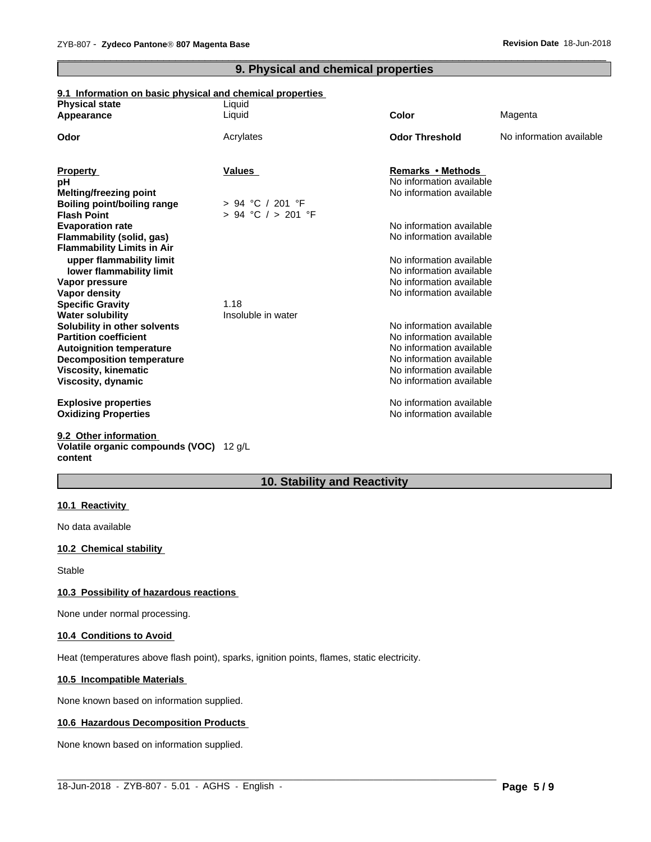#### **9. Physical and chemical properties**

 $\overline{\phantom{a}}$  ,  $\overline{\phantom{a}}$  ,  $\overline{\phantom{a}}$  ,  $\overline{\phantom{a}}$  ,  $\overline{\phantom{a}}$  ,  $\overline{\phantom{a}}$  ,  $\overline{\phantom{a}}$  ,  $\overline{\phantom{a}}$  ,  $\overline{\phantom{a}}$  ,  $\overline{\phantom{a}}$  ,  $\overline{\phantom{a}}$  ,  $\overline{\phantom{a}}$  ,  $\overline{\phantom{a}}$  ,  $\overline{\phantom{a}}$  ,  $\overline{\phantom{a}}$  ,  $\overline{\phantom{a}}$ 

#### **9.1 Information on basic physical and chemical properties**

| <b>Physical state</b>              | Liquid                 |                          |                          |
|------------------------------------|------------------------|--------------------------|--------------------------|
| Appearance                         | Liquid                 | <b>Color</b>             | Magenta                  |
| Odor                               | Acrylates              | <b>Odor Threshold</b>    | No information available |
|                                    |                        |                          |                          |
| <b>Property</b>                    | <b>Values</b>          | Remarks • Methods        |                          |
| pH                                 |                        | No information available |                          |
| <b>Melting/freezing point</b>      |                        | No information available |                          |
| <b>Boiling point/boiling range</b> | $> 94$ °C / 201 °F     |                          |                          |
| <b>Flash Point</b>                 | $> 94$ °C $/ > 201$ °F |                          |                          |
| <b>Evaporation rate</b>            |                        | No information available |                          |
| Flammability (solid, gas)          |                        | No information available |                          |
| <b>Flammability Limits in Air</b>  |                        |                          |                          |
| upper flammability limit           |                        | No information available |                          |
| lower flammability limit           |                        | No information available |                          |
| Vapor pressure                     |                        | No information available |                          |
| Vapor density                      |                        | No information available |                          |
| <b>Specific Gravity</b>            | 1.18                   |                          |                          |
| <b>Water solubility</b>            | Insoluble in water     |                          |                          |
| Solubility in other solvents       |                        | No information available |                          |
| <b>Partition coefficient</b>       |                        | No information available |                          |
| <b>Autoignition temperature</b>    |                        | No information available |                          |
| <b>Decomposition temperature</b>   |                        | No information available |                          |
| Viscosity, kinematic               |                        | No information available |                          |
| Viscosity, dynamic                 |                        | No information available |                          |
| <b>Explosive properties</b>        |                        | No information available |                          |
| <b>Oxidizing Properties</b>        |                        | No information available |                          |
| 9.2 Other information              |                        |                          |                          |
|                                    |                        |                          |                          |

#### **Volatile organic compounds (VOC)** 12 g/L **content**

### **10. Stability and Reactivity**

 $\_$  ,  $\_$  ,  $\_$  ,  $\_$  ,  $\_$  ,  $\_$  ,  $\_$  ,  $\_$  ,  $\_$  ,  $\_$  ,  $\_$  ,  $\_$  ,  $\_$  ,  $\_$  ,  $\_$  ,  $\_$  ,  $\_$  ,  $\_$  ,  $\_$  ,  $\_$  ,  $\_$  ,  $\_$  ,  $\_$  ,  $\_$  ,  $\_$  ,  $\_$  ,  $\_$  ,  $\_$  ,  $\_$  ,  $\_$  ,  $\_$  ,  $\_$  ,  $\_$  ,  $\_$  ,  $\_$  ,  $\_$  ,  $\_$  ,

#### **10.1 Reactivity**

No data available

#### **10.2 Chemical stability**

Stable

#### **10.3 Possibility of hazardous reactions**

None under normal processing.

#### **10.4 Conditions to Avoid**

Heat (temperatures above flash point), sparks, ignition points, flames, static electricity.

#### **10.5 Incompatible Materials**

None known based on information supplied.

#### **10.6 Hazardous Decomposition Products**

None known based on information supplied.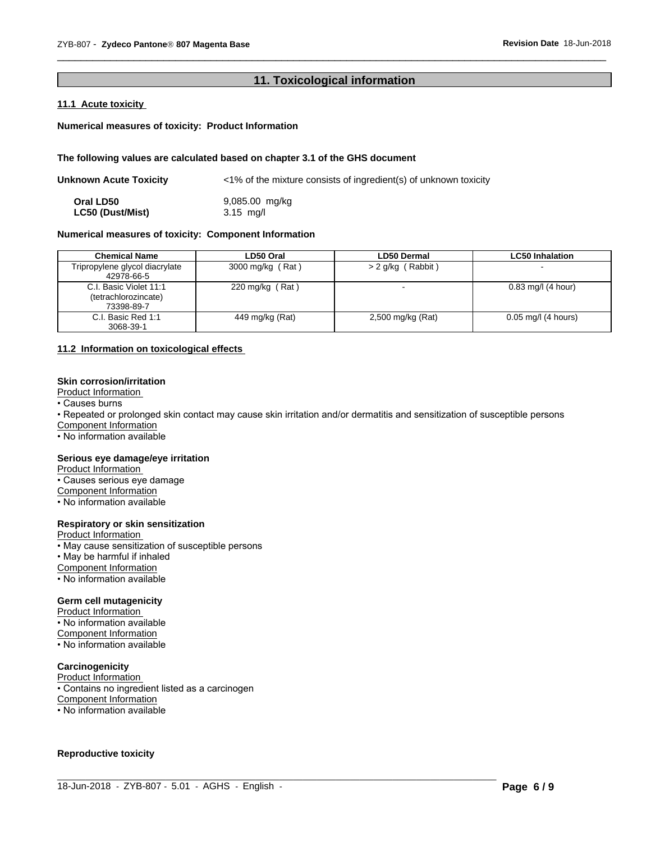#### **11. Toxicological information**

 $\overline{\phantom{a}}$  ,  $\overline{\phantom{a}}$  ,  $\overline{\phantom{a}}$  ,  $\overline{\phantom{a}}$  ,  $\overline{\phantom{a}}$  ,  $\overline{\phantom{a}}$  ,  $\overline{\phantom{a}}$  ,  $\overline{\phantom{a}}$  ,  $\overline{\phantom{a}}$  ,  $\overline{\phantom{a}}$  ,  $\overline{\phantom{a}}$  ,  $\overline{\phantom{a}}$  ,  $\overline{\phantom{a}}$  ,  $\overline{\phantom{a}}$  ,  $\overline{\phantom{a}}$  ,  $\overline{\phantom{a}}$ 

#### **11.1 Acute toxicity**

#### **Numerical measures of toxicity: Product Information**

#### **The following values are calculated based on chapter 3.1 of the GHS document**

| Unknown Acute Toxicity  | $\langle 1\%$ of the mixture consists of ingredient(s) of unknown toxicity |
|-------------------------|----------------------------------------------------------------------------|
| Oral LD50               | 9,085.00 mg/kg                                                             |
| <b>LC50 (Dust/Mist)</b> | $3.15$ ma/l                                                                |

#### **Numerical measures of toxicity: Component Information**

| <b>Chemical Name</b>                                         | LD50 Oral         | <b>LD50 Dermal</b> | <b>LC50 Inhalation</b> |
|--------------------------------------------------------------|-------------------|--------------------|------------------------|
| Tripropylene glycol diacrylate<br>42978-66-5                 | 3000 mg/kg (Rat)  | > 2 g/kg (Rabbit)  |                        |
| C.I. Basic Violet 11:1<br>(tetrachlorozincate)<br>73398-89-7 | 220 mg/kg $(Rat)$ |                    | $0.83$ mg/l (4 hour)   |
| C.I. Basic Red 1:1<br>3068-39-1                              | 449 mg/kg (Rat)   | 2,500 mg/kg (Rat)  | $0.05$ mg/l (4 hours)  |

#### **11.2 Information on toxicologicaleffects**

#### **Skin corrosion/irritation**

Product Information

• Causes burns

• Repeated or prolonged skin contact may cause skin irritation and/or dermatitis and sensitization of susceptible persons

 $\_$  ,  $\_$  ,  $\_$  ,  $\_$  ,  $\_$  ,  $\_$  ,  $\_$  ,  $\_$  ,  $\_$  ,  $\_$  ,  $\_$  ,  $\_$  ,  $\_$  ,  $\_$  ,  $\_$  ,  $\_$  ,  $\_$  ,  $\_$  ,  $\_$  ,  $\_$  ,  $\_$  ,  $\_$  ,  $\_$  ,  $\_$  ,  $\_$  ,  $\_$  ,  $\_$  ,  $\_$  ,  $\_$  ,  $\_$  ,  $\_$  ,  $\_$  ,  $\_$  ,  $\_$  ,  $\_$  ,  $\_$  ,  $\_$  ,

Component Information

• No information available

#### **Serious eye damage/eye irritation**

**Product Information** 

• Causes serious eye damage

Component Information

• No information available

#### **Respiratory or skin sensitization**

Product Information

• May cause sensitization of susceptible persons

• May be harmful if inhaled

Component Information

• No information available

#### **Germ cell mutagenicity**

Product Information

• No information available

Component Information

• No information available

#### **Carcinogenicity**

Product Information

• Contains no ingredient listed as a carcinogen

Component Information

• No information available

#### **Reproductive toxicity**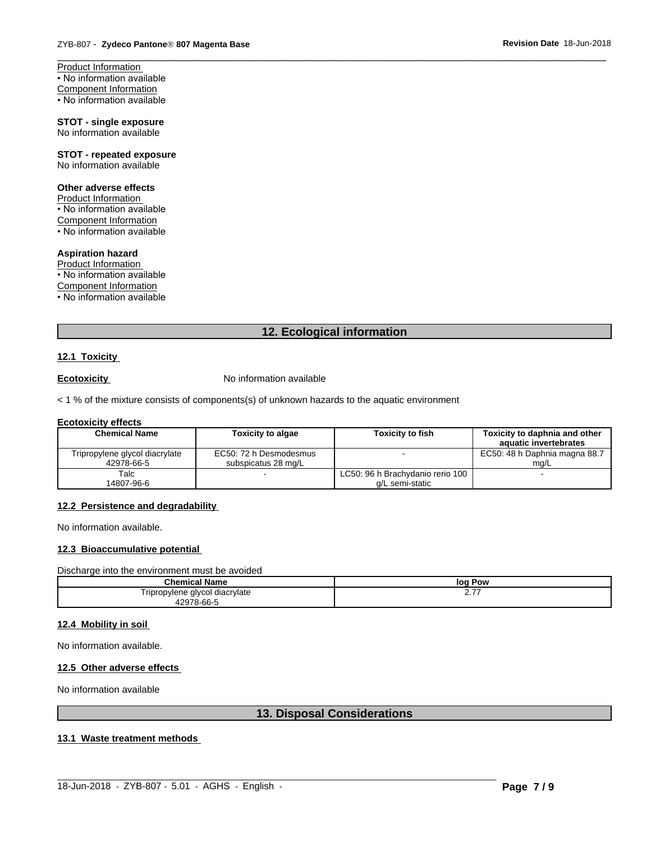Product Information • No information available Component Information • No information available

#### **STOT - single exposure** No information available

**STOT - repeated exposure** No information available

#### **Other adverse effects**

Product Information • No information available Component Information  $\cdot$  No information available

### **Aspiration hazard**

Product Information • No information available Component Information • No information available

#### **12. Ecological information**

 $\overline{\phantom{a}}$  ,  $\overline{\phantom{a}}$  ,  $\overline{\phantom{a}}$  ,  $\overline{\phantom{a}}$  ,  $\overline{\phantom{a}}$  ,  $\overline{\phantom{a}}$  ,  $\overline{\phantom{a}}$  ,  $\overline{\phantom{a}}$  ,  $\overline{\phantom{a}}$  ,  $\overline{\phantom{a}}$  ,  $\overline{\phantom{a}}$  ,  $\overline{\phantom{a}}$  ,  $\overline{\phantom{a}}$  ,  $\overline{\phantom{a}}$  ,  $\overline{\phantom{a}}$  ,  $\overline{\phantom{a}}$ 

#### **12.1 Toxicity**

**Ecotoxicity No information available** 

 $<$  1 % of the mixture consists of components(s) of unknown hazards to the aquatic environment

#### **Ecotoxicity effects**

| <b>Chemical Name</b>           | <b>Toxicity to algae</b> | <b>Toxicity to fish</b>          | Toxicity to daphnia and other<br>aquatic invertebrates |
|--------------------------------|--------------------------|----------------------------------|--------------------------------------------------------|
|                                |                          |                                  |                                                        |
| Tripropylene glycol diacrylate | EC50: 72 h Desmodesmus   |                                  | EC50: 48 h Daphnia magna 88.7                          |
| 42978-66-5                     | subspicatus 28 mg/L      |                                  | ma/L                                                   |
| Talc                           | $\overline{\phantom{a}}$ | LC50: 96 h Brachydanio rerio 100 |                                                        |
| 14807-96-6                     |                          | a/L semi-static                  |                                                        |

#### **12.2 Persistence and degradability**

No information available.

#### **12.3 Bioaccumulative potential**

Discharge into the environment must be avoided

| <b>Chemical Name</b>           | Pow<br>loq    |
|--------------------------------|---------------|
| Tripropylene glycol diacrylate | --<br><u></u> |
| 42978-66-5<br>479              |               |

#### **12.4 Mobility in soil**

No information available.

#### **12.5 Other adverse effects**

No information available

#### **13. Disposal Considerations**

 $\_$  ,  $\_$  ,  $\_$  ,  $\_$  ,  $\_$  ,  $\_$  ,  $\_$  ,  $\_$  ,  $\_$  ,  $\_$  ,  $\_$  ,  $\_$  ,  $\_$  ,  $\_$  ,  $\_$  ,  $\_$  ,  $\_$  ,  $\_$  ,  $\_$  ,  $\_$  ,  $\_$  ,  $\_$  ,  $\_$  ,  $\_$  ,  $\_$  ,  $\_$  ,  $\_$  ,  $\_$  ,  $\_$  ,  $\_$  ,  $\_$  ,  $\_$  ,  $\_$  ,  $\_$  ,  $\_$  ,  $\_$  ,  $\_$  ,

#### **13.1 Waste treatment methods**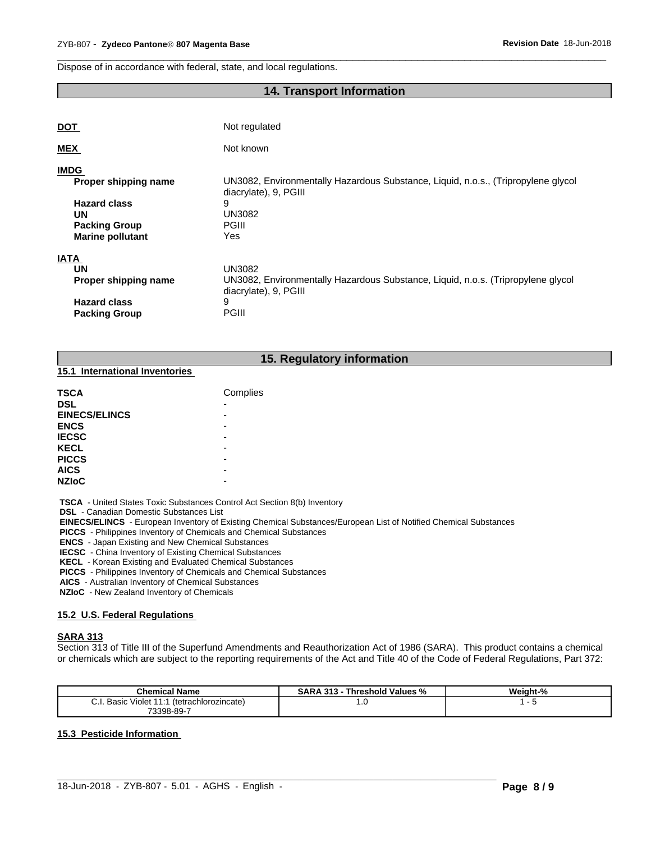Dispose of in accordance with federal, state, and local regulations.

### **14. Transport Information**

 $\overline{\phantom{a}}$  ,  $\overline{\phantom{a}}$  ,  $\overline{\phantom{a}}$  ,  $\overline{\phantom{a}}$  ,  $\overline{\phantom{a}}$  ,  $\overline{\phantom{a}}$  ,  $\overline{\phantom{a}}$  ,  $\overline{\phantom{a}}$  ,  $\overline{\phantom{a}}$  ,  $\overline{\phantom{a}}$  ,  $\overline{\phantom{a}}$  ,  $\overline{\phantom{a}}$  ,  $\overline{\phantom{a}}$  ,  $\overline{\phantom{a}}$  ,  $\overline{\phantom{a}}$  ,  $\overline{\phantom{a}}$ 

| <b>DOT</b>              | Not regulated                                                                                              |
|-------------------------|------------------------------------------------------------------------------------------------------------|
| <b>MEX</b>              | Not known                                                                                                  |
| <b>IMDG</b>             |                                                                                                            |
| Proper shipping name    | UN3082, Environmentally Hazardous Substance, Liquid, n.o.s., (Tripropylene glycol<br>diacrylate), 9, PGIII |
| <b>Hazard class</b>     | 9                                                                                                          |
| <b>UN</b>               | <b>UN3082</b>                                                                                              |
| <b>Packing Group</b>    | <b>PGIII</b>                                                                                               |
| <b>Marine pollutant</b> | Yes                                                                                                        |
| <b>IATA</b>             |                                                                                                            |
| <b>UN</b>               | <b>UN3082</b>                                                                                              |
| Proper shipping name    | UN3082, Environmentally Hazardous Substance, Liquid, n.o.s. (Tripropylene glycol<br>diacrylate), 9, PGIII  |
| <b>Hazard class</b>     | 9                                                                                                          |
| <b>Packing Group</b>    | <b>PGIII</b>                                                                                               |

#### **15. Regulatory information**

#### **15.1 International Inventories**

| <b>TSCA</b>          | Complies |
|----------------------|----------|
| <b>DSL</b>           | -        |
| <b>EINECS/ELINCS</b> |          |
| <b>ENCS</b>          |          |
| <b>IECSC</b>         |          |
| <b>KECL</b>          | -        |
| <b>PICCS</b>         | -        |
| <b>AICS</b>          |          |
| <b>NZIoC</b>         | -        |

 **TSCA** - United States Toxic Substances Control Act Section 8(b) Inventory

 **DSL** - Canadian Domestic Substances List

 **EINECS/ELINCS** - European Inventory of Existing Chemical Substances/European List of Notified Chemical Substances

 **PICCS** - Philippines Inventory of Chemicals and Chemical Substances

 **ENCS** - Japan Existing and New Chemical Substances

 **IECSC** - China Inventory of Existing Chemical Substances

 **KECL** - Korean Existing and Evaluated Chemical Substances

 **PICCS** - Philippines Inventory of Chemicals and Chemical Substances

 **AICS** - Australian Inventory of Chemical Substances

 **NZIoC** - New Zealand Inventory of Chemicals

#### **15.2 U.S. Federal Regulations**

#### **SARA 313**

Section 313 of Title III of the Superfund Amendments and Reauthorization Act of 1986 (SARA). This product contains a chemical or chemicals which are subject to the reporting requirements of the Act and Title 40 of the Code of Federal Regulations, Part 372:

| <b>Chemical Name</b>                                               | <b>SARA 313</b><br>Threshold Values % | Weight-% |
|--------------------------------------------------------------------|---------------------------------------|----------|
| <sup>∴</sup> ≁91 Violet اou<br>Basic<br>(tetrachlorozincate)<br>◡… | . ن                                   |          |
| 73398-89-7                                                         |                                       |          |

 $\_$  ,  $\_$  ,  $\_$  ,  $\_$  ,  $\_$  ,  $\_$  ,  $\_$  ,  $\_$  ,  $\_$  ,  $\_$  ,  $\_$  ,  $\_$  ,  $\_$  ,  $\_$  ,  $\_$  ,  $\_$  ,  $\_$  ,  $\_$  ,  $\_$  ,  $\_$  ,  $\_$  ,  $\_$  ,  $\_$  ,  $\_$  ,  $\_$  ,  $\_$  ,  $\_$  ,  $\_$  ,  $\_$  ,  $\_$  ,  $\_$  ,  $\_$  ,  $\_$  ,  $\_$  ,  $\_$  ,  $\_$  ,  $\_$  ,

#### **15.3 Pesticide Information**